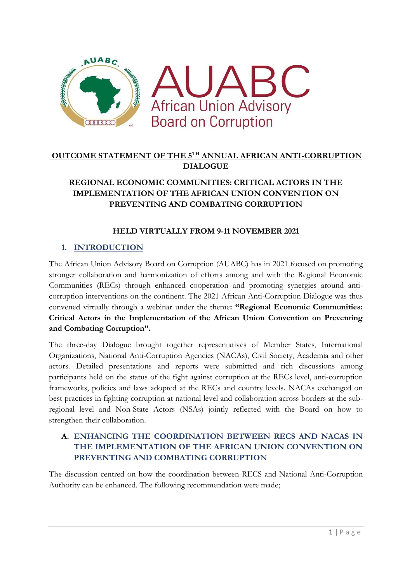

# **OUTCOME STATEMENT OF THE 5TH ANNUAL AFRICAN ANTI-CORRUPTION DIALOGUE**

## **REGIONAL ECONOMIC COMMUNITIES: CRITICAL ACTORS IN THE IMPLEMENTATION OF THE AFRICAN UNION CONVENTION ON PREVENTING AND COMBATING CORRUPTION**

## **HELD VIRTUALLY FROM 9-11 NOVEMBER 2021**

### **1. INTRODUCTION**

The African Union Advisory Board on Corruption (AUABC) has in 2021 focused on promoting stronger collaboration and harmonization of efforts among and with the Regional Economic Communities (RECs) through enhanced cooperation and promoting synergies around anticorruption interventions on the continent. The 2021 African Anti-Corruption Dialogue was thus convened virtually through a webinar under the theme**: "Regional Economic Communities: Critical Actors in the Implementation of the African Union Convention on Preventing and Combating Corruption".**

The three-day Dialogue brought together representatives of Member States, International Organizations, National Anti-Corruption Agencies (NACAs), Civil Society, Academia and other actors. Detailed presentations and reports were submitted and rich discussions among participants held on the status of the fight against corruption at the RECs level, anti-corruption frameworks, policies and laws adopted at the RECs and country levels. NACAs exchanged on best practices in fighting corruption at national level and collaboration across borders at the subregional level and Non-State Actors (NSAs) jointly reflected with the Board on how to strengthen their collaboration.

## **A. ENHANCING THE COORDINATION BETWEEN RECS AND NACAS IN THE IMPLEMENTATION OF THE AFRICAN UNION CONVENTION ON PREVENTING AND COMBATING CORRUPTION**

The discussion centred on how the coordination between RECS and National Anti-Corruption Authority can be enhanced. The following recommendation were made;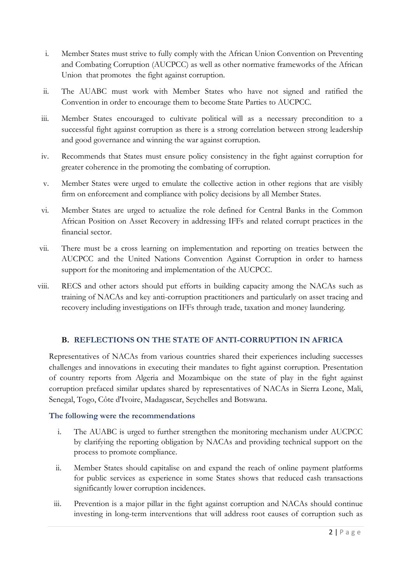- i. Member States must strive to fully comply with the African Union Convention on Preventing and Combating Corruption (AUCPCC) as well as other normative frameworks of the African Union that promotes the fight against corruption.
- ii. The AUABC must work with Member States who have not signed and ratified the Convention in order to encourage them to become State Parties to AUCPCC.
- iii. Member States encouraged to cultivate political will as a necessary precondition to a successful fight against corruption as there is a strong correlation between strong leadership and good governance and winning the war against corruption.
- iv. Recommends that States must ensure policy consistency in the fight against corruption for greater coherence in the promoting the combating of corruption.
- v. Member States were urged to emulate the collective action in other regions that are visibly firm on enforcement and compliance with policy decisions by all Member States.
- vi. Member States are urged to actualize the role defined for Central Banks in the Common African Position on Asset Recovery in addressing IFFs and related corrupt practices in the financial sector.
- vii. There must be a cross learning on implementation and reporting on treaties between the AUCPCC and the United Nations Convention Against Corruption in order to harness support for the monitoring and implementation of the AUCPCC.
- viii. RECS and other actors should put efforts in building capacity among the NACAs such as training of NACAs and key anti-corruption practitioners and particularly on asset tracing and recovery including investigations on IFFs through trade, taxation and money laundering.

#### **B. REFLECTIONS ON THE STATE OF ANTI-CORRUPTION IN AFRICA**

Representatives of NACAs from various countries shared their experiences including successes challenges and innovations in executing their mandates to fight against corruption. Presentation of country reports from Algeria and Mozambique on the state of play in the fight against corruption prefaced similar updates shared by representatives of NACAs in Sierra Leone, Mali, Senegal, Togo, Côte d'Ivoire, Madagascar, Seychelles and Botswana.

#### **The following were the recommendations**

- i. The AUABC is urged to further strengthen the monitoring mechanism under AUCPCC by clarifying the reporting obligation by NACAs and providing technical support on the process to promote compliance.
- ii. Member States should capitalise on and expand the reach of online payment platforms for public services as experience in some States shows that reduced cash transactions significantly lower corruption incidences.
- iii. Prevention is a major pillar in the fight against corruption and NACAs should continue investing in long-term interventions that will address root causes of corruption such as